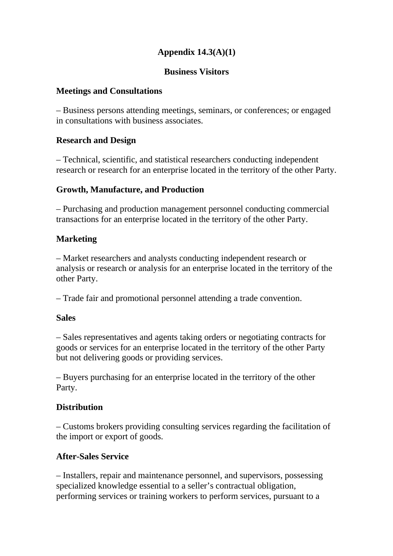# **Appendix 14.3(A)(1)**

#### **Business Visitors**

#### **Meetings and Consultations**

– Business persons attending meetings, seminars, or conferences; or engaged in consultations with business associates.

#### **Research and Design**

– Technical, scientific, and statistical researchers conducting independent research or research for an enterprise located in the territory of the other Party.

### **Growth, Manufacture, and Production**

– Purchasing and production management personnel conducting commercial transactions for an enterprise located in the territory of the other Party.

### **Marketing**

– Market researchers and analysts conducting independent research or analysis or research or analysis for an enterprise located in the territory of the other Party.

– Trade fair and promotional personnel attending a trade convention.

#### **Sales**

– Sales representatives and agents taking orders or negotiating contracts for goods or services for an enterprise located in the territory of the other Party but not delivering goods or providing services.

– Buyers purchasing for an enterprise located in the territory of the other Party.

### **Distribution**

– Customs brokers providing consulting services regarding the facilitation of the import or export of goods.

### **After-Sales Service**

– Installers, repair and maintenance personnel, and supervisors, possessing specialized knowledge essential to a seller's contractual obligation, performing services or training workers to perform services, pursuant to a